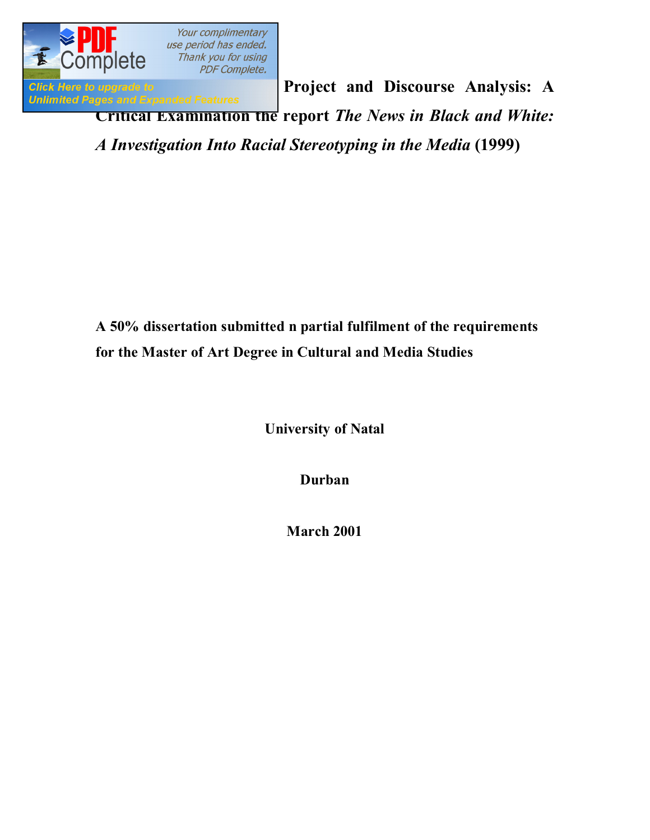

**Click Here to upgrade to**<br> **Project and Discourse Analysis: A** *Unlimited Pages and Expanded Features* **Critical Examination the report** *The News in Black and White: A Investigation Into Racial Stereotyping in the Media* **(1999)**

> **A 50% dissertation submitted n partial fulfilment of the requirements for the Master of Art Degree in Cultural and Media Studies**

> > **University of Natal**

**Durban**

**March 2001**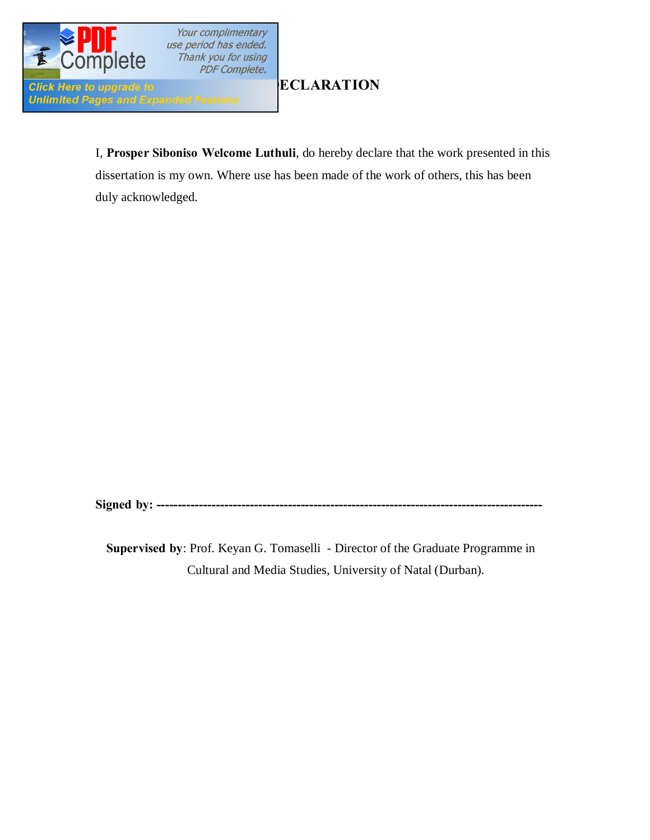

**[D](http://www.pdfcomplete.com/cms/hppl/tabid/108/Default.aspx?r=q8b3uige22)ECLARATION**

I, **Prosper Siboniso Welcome Luthuli**, do hereby declare that the work presented in this dissertation is my own. Where use has been made of the work of others, this has been duly acknowledged.

**Signed by: ------**

**Supervised by**: Prof. Keyan G. Tomaselli - Director of the Graduate Programme in Cultural and Media Studies, University of Natal (Durban).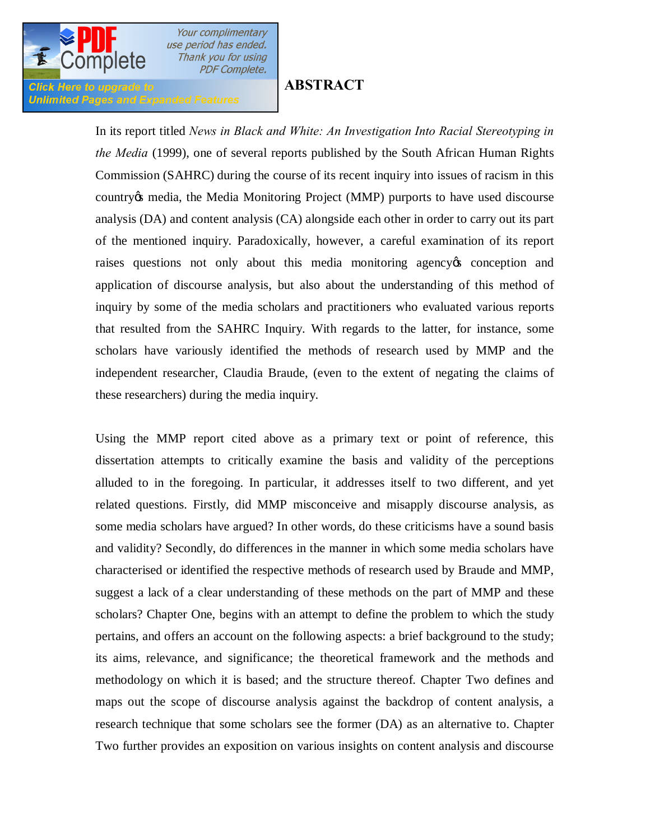

Click Here to upgrade to

**Unlimited Pages and Expanded Features** 

# **ABSTRACT**

In its report titled *News in Black and White: An Investigation Into Racial Stereotyping in the Media* (1999), one of several reports published by the South African Human Rights Commission (SAHRC) during the course of its recent inquiry into issues of racism in this country *is* media, the Media Monitoring Project (MMP) purports to have used discourse analysis (DA) and content analysis (CA) alongside each other in order to carry out its part of the mentioned inquiry. Paradoxically, however, a careful examination of its report raises questions not only about this media monitoring agency to conception and application of discourse analysis, but also about the understanding of this method of inquiry by some of the media scholars and practitioners who evaluated various reports that resulted from the SAHRC Inquiry. With regards to the latter, for instance, some scholars have variously identified the methods of research used by MMP and the independent researcher, Claudia Braude, (even to the extent of negating the claims of these researchers) during the media inquiry.

Using the MMP report cited above as a primary text or point of reference, this dissertation attempts to critically examine the basis and validity of the perceptions alluded to in the foregoing. In particular, it addresses itself to two different, and yet related questions. Firstly, did MMP misconceive and misapply discourse analysis, as some media scholars have argued? In other words, do these criticisms have a sound basis and validity? Secondly, do differences in the manner in which some media scholars have characterised or identified the respective methods of research used by Braude and MMP, suggest a lack of a clear understanding of these methods on the part of MMP and these scholars? Chapter One, begins with an attempt to define the problem to which the study pertains, and offers an account on the following aspects: a brief background to the study; its aims, relevance, and significance; the theoretical framework and the methods and methodology on which it is based; and the structure thereof. Chapter Two defines and maps out the scope of discourse analysis against the backdrop of content analysis, a research technique that some scholars see the former (DA) as an alternative to. Chapter Two further provides an exposition on various insights on content analysis and discourse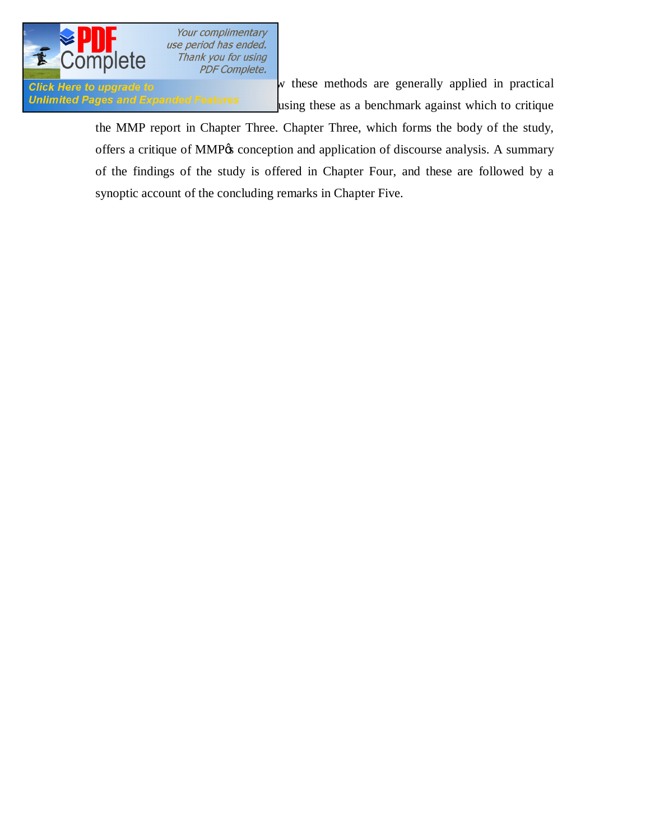

Your complimentary use period has ended. Thank you for using PDF Complete.

**analysis, and the examples of these methods** are generally applied in practical  $\mathbf{w}$  these methods are generally applied in practical Unlimited Pages and Expanded Features using these as a benchmark against which to critique

> the MMP report in Chapter Three. Chapter Three, which forms the body of the study, offers a critique of MMP% conception and application of discourse analysis. A summary of the findings of the study is offered in Chapter Four, and these are followed by a synoptic account of the concluding remarks in Chapter Five.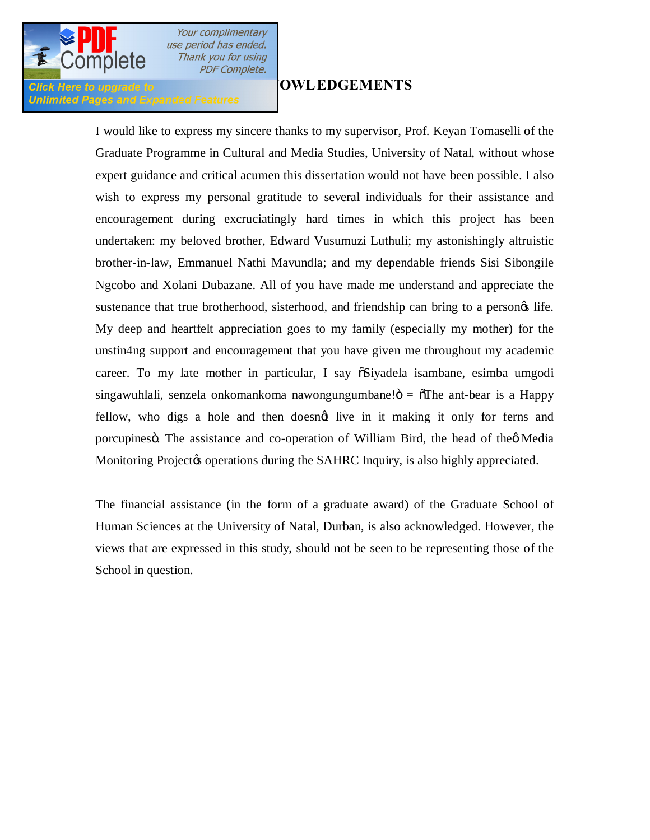

Your complimentary use period has ended. Thank you for using **PDF Complete.** 

### **Click Here to upgrade to Unlimited Pages and Expanded Features**

# **[ACKN](http://www.pdfcomplete.com/cms/hppl/tabid/108/Default.aspx?r=q8b3uige22)OWLEDGEMENTS**

I would like to express my sincere thanks to my supervisor, Prof. Keyan Tomaselli of the Graduate Programme in Cultural and Media Studies, University of Natal, without whose expert guidance and critical acumen this dissertation would not have been possible. I also wish to express my personal gratitude to several individuals for their assistance and encouragement during excruciatingly hard times in which this project has been undertaken: my beloved brother, Edward Vusumuzi Luthuli; my astonishingly altruistic brother-in-law, Emmanuel Nathi Mavundla; and my dependable friends Sisi Sibongile Ngcobo and Xolani Dubazane. All of you have made me understand and appreciate the sustenance that true brotherhood, sisterhood, and friendship can bring to a persongs life. My deep and heartfelt appreciation goes to my family (especially my mother) for the unstin4ng support and encouragement that you have given me throughout my academic career. To my late mother in particular, I say  $\tilde{\text{o}}$ Siyadela isambane, esimba umgodi singawuhlali, senzela onkomankoma nawongungumbane! $\ddot{\text{o}} = \ddot{\text{o}}$ The ant-bear is a Happy fellow, who digs a hole and then doesnot live in it making it only for ferns and porcupines . The assistance and co-operation of William Bird, the head of the oMedia Monitoring Project & operations during the SAHRC Inquiry, is also highly appreciated.

The financial assistance (in the form of a graduate award) of the Graduate School of Human Sciences at the University of Natal, Durban, is also acknowledged. However, the views that are expressed in this study, should not be seen to be representing those of the School in question.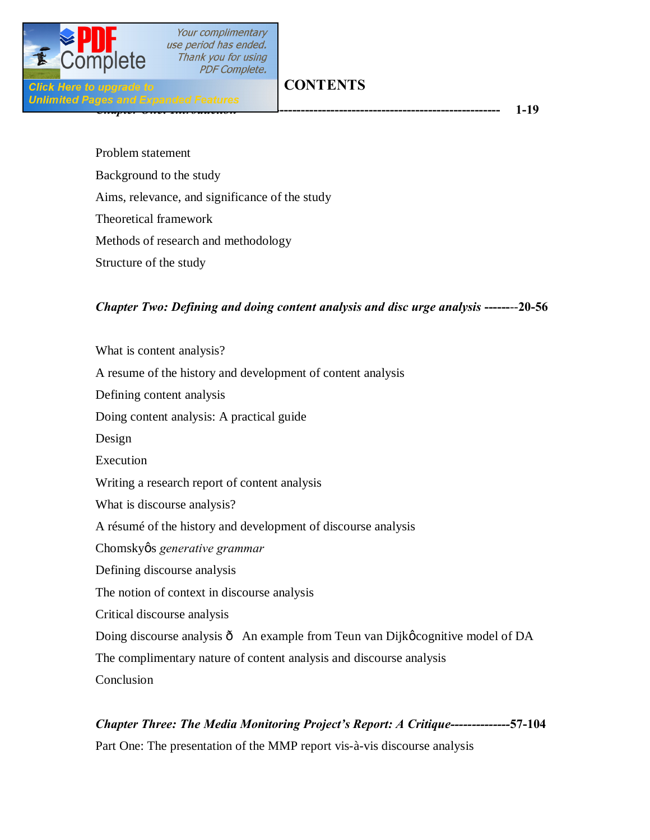

**Click Here to upgrade t** 

Your complimentary use period has ended. Thank you for using **PDF Complete.** 

# **CONTENTS**

*[Chapter One: Introduction](http://www.pdfcomplete.com/cms/hppl/tabid/108/Default.aspx?r=q8b3uige22)***-------------------------------------------------------------- 1-19**

Problem statement Background to the study Aims, relevance, and significance of the study Theoretical framework Methods of research and methodology Structure of the study

# *Chapter Two: Defining and doing content analysis and disc urge analysis* **------**--**20-56**

What is content analysis? A resume of the history and development of content analysis Defining content analysis Doing content analysis: A practical guide Design Execution Writing a research report of content analysis What is discourse analysis? A résumé of the history and development of discourse analysis Chomskyøs generative grammar Defining discourse analysis The notion of context in discourse analysis Critical discourse analysis Doing discourse analysis  $\hat{o}$  An example from Teun van Dijkø cognitive model of DA The complimentary nature of content analysis and discourse analysis Conclusion

## *Chapter Three: The Media Monitoring Project's Report: A Critique--------------***57-104**

Part One: The presentation of the MMP report vis-à-vis discourse analysis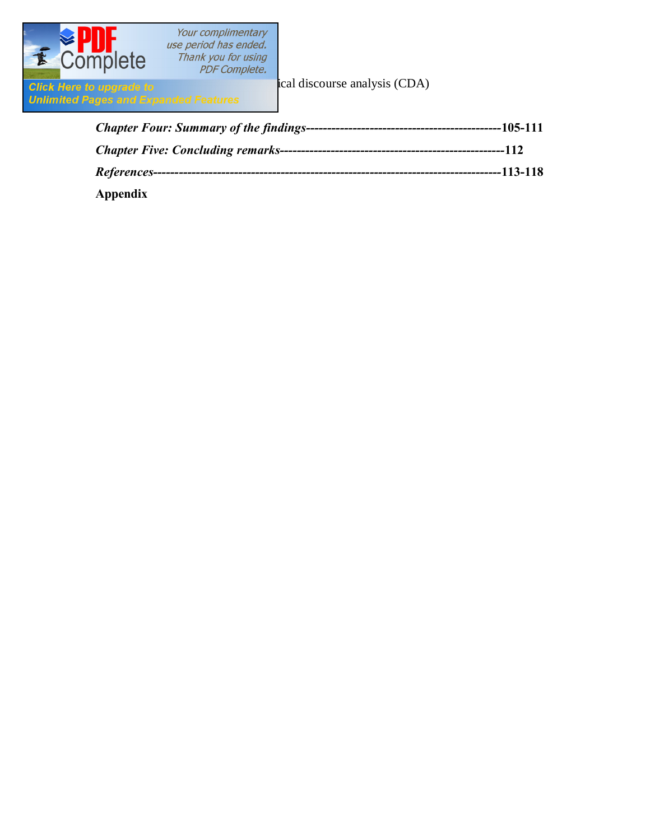

**Appendix**